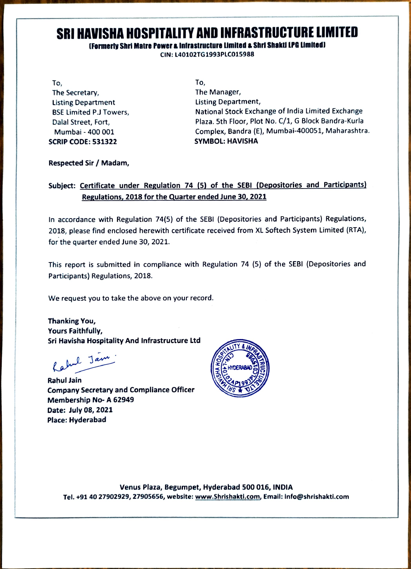### SRI HAVISHA HOSPITALITY AND INFRASTRUCTURE LIMITED

#### Formerty Shri Matre Powera inirastructure LImited & Shrl Shaktl LPa LImited

CIN: L40102TG1993PLCO15988

To, To, The Secretary, The Manager, Listing Department BSE Limited P.J Towers, sCRIP CODE: 531322 SYMBOL: HAVISHA

Listing Department, National Stock Exchange of India Limited Exchange Dalal Street, Fort, Plaza. 5th Floor, Plot No. C/1, G Block Bandra-Kurla Mumbai- 400 001 Complex, Bandra (E), Mumbai-400051, Maharashtra.

#### Respected Sir / Madam,

#### Subject: Certificate under Regulation 74 (5) of the SEBI (Depositories and Participants) Regulations, 2018 for the Quarter ended June 30, 2021

In accordance with Regulation 74(5) of the SEBI (Depositories and Participants) Regulations, 2018, please find enclosed herewith certificate received from XL Softech System Limited (RTA), for the quarter ended June 30, 2021.

This report is submitted in compliance with Regulation 74 (5) of the SEBI (Depositories and Participants) Regulations, 2018.

We request you to take the above on your record.

Thanking You, Yours Faithfully, Sri Havisha Hospitality And Infrastructure Ltd

Kahul Jam

Rahul Jain<br>Company Secretary and Compliance Officer Membership No- A 62949 Date: July 08, 2021 Place: Hyderabad



Venus Plaza, Begumpet, Hyderabad 500 016, INDIA Tel.+91 40 27902929, 27905656, website: www.Shrishakti.com, Email: Info@shrishakti.com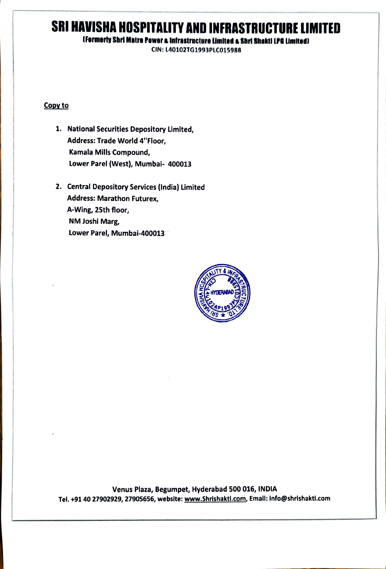## SRI HAVISHA HOSPITALITY AND INFRASTRUCTURE LIMITED

(Formerly Shri Matre Power a Infrastructure Limited a Shri Shakti LPG Limited)

CIN: L40102TG1993PLC015988

#### Copy to

- 1. National Securities Depository Limited, Address: Trade World 4"Floor, Kamala Mills Compound, Lower Parel (West), Mumbai- 400013
- 2. Central Depository Services (India) Limited **Address: Marathon Futurex,** A-Wing, 25th floor, NM Joshi Marg, Lower Parel, Mumbai-400013



Venus Plaza, Begumpet, Hyderabad 500 016, INDIA Tel. +91 40 27902929, 27905656, website: www.Shrishakti.com, Email: info@shrishakti.com